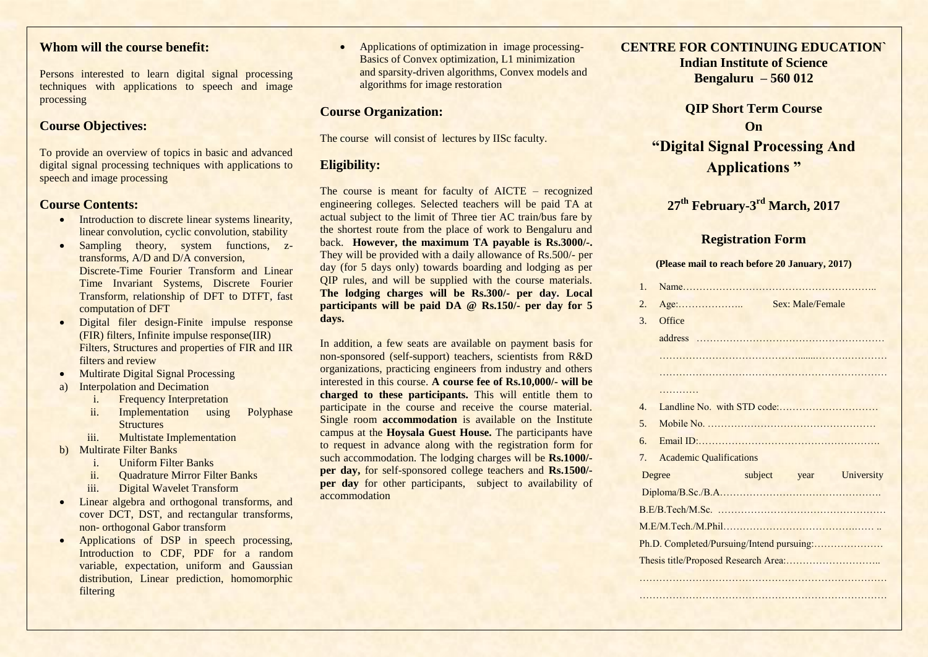# **Whom will the course benefit:**

Persons interested to learn digital signal processing techniques with applications to speech and image processing

## **Course Objectives:**

To provide an overview of topics in basic and advanced digital signal processing techniques with applications to speech and image processing

### **Course Contents:**

- Introduction to discrete linear systems linearity, linear convolution, cyclic convolution, stability
- Sampling theory, system functions, ztransforms, A/D and D/A conversion, Discrete-Time Fourier Transform and Linear Time Invariant Systems, Discrete Fourier Transform, relationship of DFT to DTFT, fast computation of DFT
- Digital filer design-Finite impulse response (FIR) filters, Infinite impulse response(IIR) Filters, Structures and properties of FIR and IIR filters and review
- Multirate Digital Signal Processing
- a) Interpolation and Decimation
	- i. Frequency Interpretation
	- ii. Implementation using Polyphase **Structures**
	- iii. Multistate Implementation
- b) Multirate Filter Banks
	- i. Uniform Filter Banks
	- ii. Quadrature Mirror Filter Banks
	- iii. Digital Wavelet Transform
- Linear algebra and orthogonal transforms, and cover DCT, DST, and rectangular transforms, non- orthogonal Gabor transform
- Applications of DSP in speech processing, Introduction to CDF, PDF for a random variable, expectation, uniform and Gaussian distribution, Linear prediction, homomorphic filtering

• Applications of optimization in image processing-Basics of Convex optimization, L1 minimization and sparsity-driven algorithms, Convex models and algorithms for image restoration

## **Course Organization:**

The course will consist of lectures by IISc faculty.

## **Eligibility:**

The course is meant for faculty of AICTE – recognized engineering colleges. Selected teachers will be paid TA at actual subject to the limit of Three tier AC train/bus fare by the shortest route from the place of work to Bengaluru and back. **However, the maximum TA payable is Rs.3000/-.** They will be provided with a daily allowance of Rs.500/- per day (for 5 days only) towards boarding and lodging as per QIP rules, and will be supplied with the course materials. **The lodging charges will be Rs.300/- per day. Local participants will be paid DA @ Rs.150/- per day for 5 days.** 

In addition, a few seats are available on payment basis for non-sponsored (self-support) teachers, scientists from R&D organizations, practicing engineers from industry and others interested in this course. **A course fee of Rs.10,000/- will be charged to these participants.** This will entitle them to participate in the course and receive the course material. Single room **accommodation** is available on the Institute campus at the **Hoysala Guest House.** The participants have to request in advance along with the registration form for such accommodation. The lodging charges will be **Rs.1000/ per day,** for self-sponsored college teachers and **Rs.1500/ per day** for other participants, subject to availability of accommodation

**CENTRE FOR CONTINUING EDUCATION` Indian Institute of Science Bengaluru – 560 012**

> **QIP Short Term Course On "Digital Signal Processing And Applications "**

**27th February-3 rd March, 2017**

## **Registration Form**

#### **(Please mail to reach before 20 January, 2017)**

| $\mathbf{1}$ . |                                           |
|----------------|-------------------------------------------|
| 2.             | Sex: Male/Female                          |
| 3.             | Office                                    |
|                |                                           |
|                |                                           |
|                |                                           |
|                | .                                         |
| $\mathbf{4}$ . |                                           |
| 5 <sub>1</sub> |                                           |
| 6.             |                                           |
| 7.             | <b>Academic Qualifications</b>            |
|                | subject year University<br>Degree         |
|                |                                           |
|                |                                           |
|                |                                           |
|                | Ph.D. Completed/Pursuing/Intend pursuing: |
|                |                                           |
|                |                                           |

…………………………………………………………………